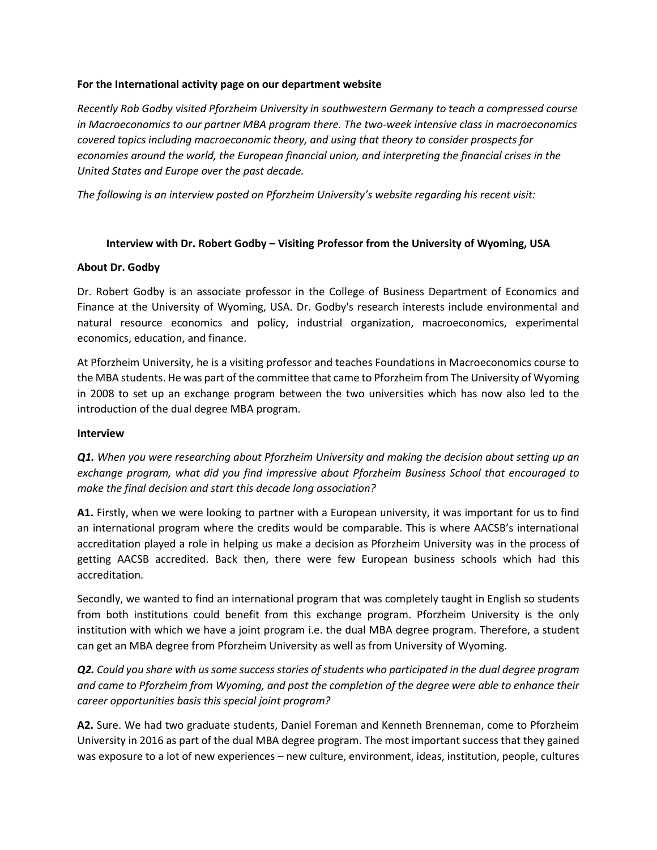## **For the International activity page on our department website**

*Recently Rob Godby visited Pforzheim University in southwestern Germany to teach a compressed course in Macroeconomics to our partner MBA program there. The two-week intensive class in macroeconomics covered topics including macroeconomic theory, and using that theory to consider prospects for economies around the world, the European financial union, and interpreting the financial crises in the United States and Europe over the past decade.* 

*The following is an interview posted on Pforzheim University's website regarding his recent visit:* 

## **Interview with Dr. Robert Godby – Visiting Professor from the University of Wyoming, USA**

## **About Dr. Godby**

Dr. Robert Godby is an associate professor in the College of Business Department of Economics and Finance at the University of Wyoming, USA. Dr. Godby's research interests include environmental and natural resource economics and policy, industrial organization, macroeconomics, experimental economics, education, and finance.

At Pforzheim University, he is a visiting professor and teaches Foundations in Macroeconomics course to the MBA students. He was part of the committee that came to Pforzheim from The University of Wyoming in 2008 to set up an exchange program between the two universities which has now also led to the introduction of the dual degree MBA program.

## **Interview**

*Q1. When you were researching about Pforzheim University and making the decision about setting up an exchange program, what did you find impressive about Pforzheim Business School that encouraged to make the final decision and start this decade long association?* 

**A1.** Firstly, when we were looking to partner with a European university, it was important for us to find an international program where the credits would be comparable. This is where AACSB's international accreditation played a role in helping us make a decision as Pforzheim University was in the process of getting AACSB accredited. Back then, there were few European business schools which had this accreditation.

Secondly, we wanted to find an international program that was completely taught in English so students from both institutions could benefit from this exchange program. Pforzheim University is the only institution with which we have a joint program i.e. the dual MBA degree program. Therefore, a student can get an MBA degree from Pforzheim University as well as from University of Wyoming.

*Q2. Could you share with us some success stories of students who participated in the dual degree program and came to Pforzheim from Wyoming, and post the completion of the degree were able to enhance their career opportunities basis this special joint program?*

**A2.** Sure. We had two graduate students, Daniel Foreman and Kenneth Brenneman, come to Pforzheim University in 2016 as part of the dual MBA degree program. The most important success that they gained was exposure to a lot of new experiences – new culture, environment, ideas, institution, people, cultures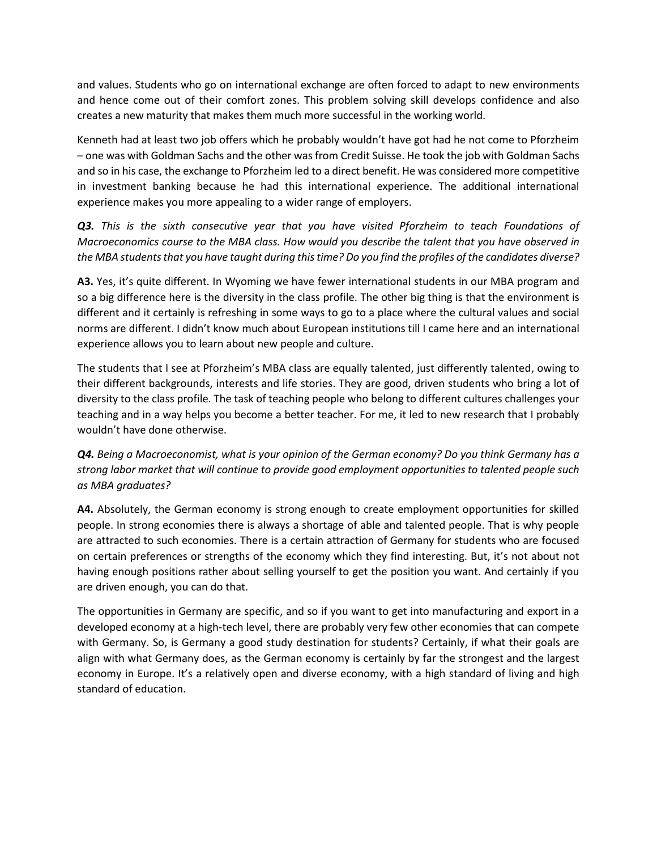and values. Students who go on international exchange are often forced to adapt to new environments and hence come out of their comfort zones. This problem solving skill develops confidence and also creates a new maturity that makes them much more successful in the working world.

Kenneth had at least two job offers which he probably wouldn't have got had he not come to Pforzheim – one was with Goldman Sachs and the other was from Credit Suisse. He took the job with Goldman Sachs and so in his case, the exchange to Pforzheim led to a direct benefit. He was considered more competitive in investment banking because he had this international experience. The additional international experience makes you more appealing to a wider range of employers.

*Q3. This is the sixth consecutive year that you have visited Pforzheim to teach Foundations of Macroeconomics course to the MBA class. How would you describe the talent that you have observed in the MBA students that you have taught during this time? Do you find the profiles of the candidates diverse?* 

**A3.** Yes, it's quite different. In Wyoming we have fewer international students in our MBA program and so a big difference here is the diversity in the class profile. The other big thing is that the environment is different and it certainly is refreshing in some ways to go to a place where the cultural values and social norms are different. I didn't know much about European institutions till I came here and an international experience allows you to learn about new people and culture.

The students that I see at Pforzheim's MBA class are equally talented, just differently talented, owing to their different backgrounds, interests and life stories. They are good, driven students who bring a lot of diversity to the class profile. The task of teaching people who belong to different cultures challenges your teaching and in a way helps you become a better teacher. For me, it led to new research that I probably wouldn't have done otherwise.

*Q4. Being a Macroeconomist, what is your opinion of the German economy? Do you think Germany has a strong labor market that will continue to provide good employment opportunities to talented people such as MBA graduates?*

**A4.** Absolutely, the German economy is strong enough to create employment opportunities for skilled people. In strong economies there is always a shortage of able and talented people. That is why people are attracted to such economies. There is a certain attraction of Germany for students who are focused on certain preferences or strengths of the economy which they find interesting. But, it's not about not having enough positions rather about selling yourself to get the position you want. And certainly if you are driven enough, you can do that.

The opportunities in Germany are specific, and so if you want to get into manufacturing and export in a developed economy at a high-tech level, there are probably very few other economies that can compete with Germany. So, is Germany a good study destination for students? Certainly, if what their goals are align with what Germany does, as the German economy is certainly by far the strongest and the largest economy in Europe. It's a relatively open and diverse economy, with a high standard of living and high standard of education.